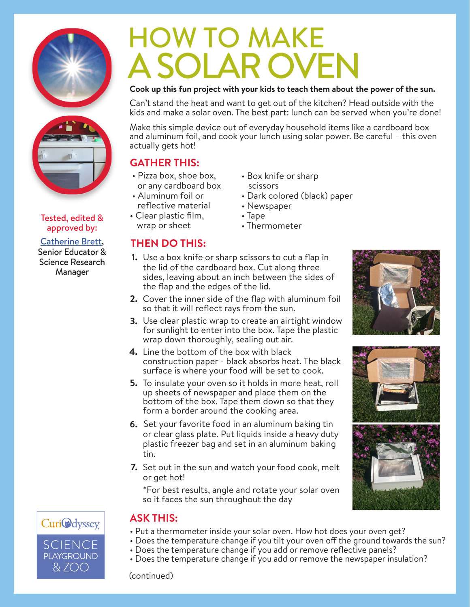

## Tested, edited & state of the Tested of the Tested of the Team of Sheet State T<br>wrap or sheet approved by:

#### Catherine Brett, Senior Educator & Science Research Manager

# HOW TO MAKE A SOLAR OVEN

### **Cook up this fun project with your kids to teach them about the power of the sun.**

Can't stand the heat and want to get out of the kitchen? Head outside with the kids and make a solar oven. The best part: lunch can be served when you're done!

Make this simple device out of everyday household items like a cardboard box and aluminum foil, and cook your lunch using solar power. Be careful – this oven actually gets hot!

## **GATHER THIS:**

- Pizza box, shoe box, or any cardboard box
- Aluminum foil or reflective material
- Clear plastic film,

## **THEN DO THIS:**

- Box knife or sharp scissors
- Dark colored (black) paper
- Newspaper
- Tape
- Thermometer
- Use a box knife or sharp scissors to cut a flap in **1.** the lid of the cardboard box. Cut along three sides, leaving about an inch between the sides of the flap and the edges of the lid.
- Cover the inner side of the flap with aluminum foil **2.** so that it will reflect rays from the sun.
- Use clear plastic wrap to create an airtight window **3.** for sunlight to enter into the box. Tape the plastic wrap down thoroughly, sealing out air.
- Line the bottom of the box with black **4.** construction paper - black absorbs heat. The black surface is where your food will be set to cook.
- **5.** To insulate your oven so it holds in more heat, roll up sheets of newspaper and place them on the bottom of the box. Tape them down so that they form a border around the cooking area.
- Set your favorite food in an aluminum baking tin **6.** or clear glass plate. Put liquids inside a heavy duty plastic freezer bag and set in an aluminum baking tin.
- **7.** Set out in the sun and watch your food cook, melt or get hot!

\*For best results, angle and rotate your solar oven so it faces the sun throughout the day









## **ASK THIS:**

- Put a thermometer inside your solar oven. How hot does your oven get?
- Does the temperature change if you tilt your oven off the ground towards the sun?
- Does the temperature change if you add or remove reflective panels?
- Does the temperature change if you add or remove the newspaper insulation?

(continued)